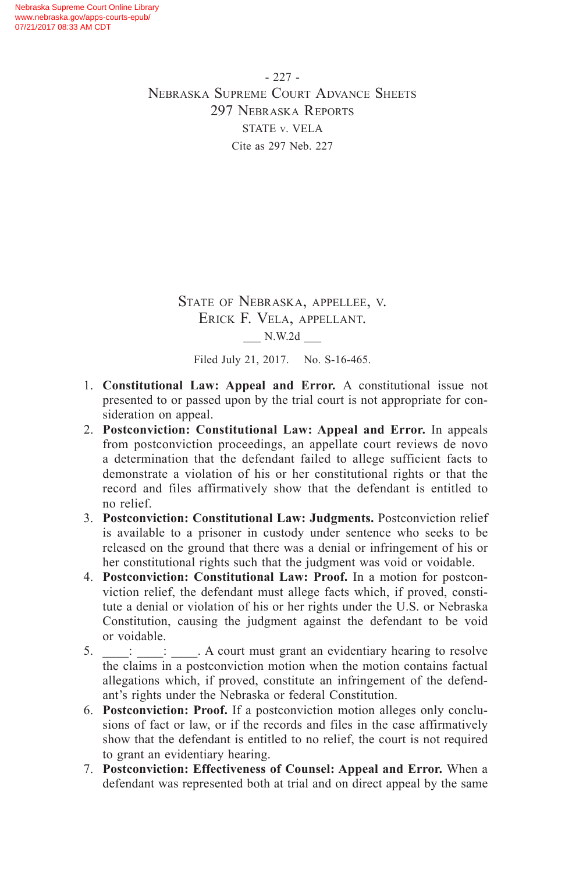- 227 - Nebraska Supreme Court Advance Sheets 297 Nebraska Reports STATE v. VELA Cite as 297 Neb. 227

> State of Nebraska, appellee, v. Erick F. Vela, appellant. \_\_\_ N.W.2d \_\_\_

Filed July 21, 2017. No. S-16-465.

- 1. **Constitutional Law: Appeal and Error.** A constitutional issue not presented to or passed upon by the trial court is not appropriate for consideration on appeal.
- 2. **Postconviction: Constitutional Law: Appeal and Error.** In appeals from postconviction proceedings, an appellate court reviews de novo a determination that the defendant failed to allege sufficient facts to demonstrate a violation of his or her constitutional rights or that the record and files affirmatively show that the defendant is entitled to no relief.
- 3. **Postconviction: Constitutional Law: Judgments.** Postconviction relief is available to a prisoner in custody under sentence who seeks to be released on the ground that there was a denial or infringement of his or her constitutional rights such that the judgment was void or voidable.
- 4. **Postconviction: Constitutional Law: Proof.** In a motion for postconviction relief, the defendant must allege facts which, if proved, constitute a denial or violation of his or her rights under the U.S. or Nebraska Constitution, causing the judgment against the defendant to be void or voidable.
- 5.  $\frac{1}{\sqrt{2}}$  :  $\frac{1}{\sqrt{2}}$  . A court must grant an evidentiary hearing to resolve the claims in a postconviction motion when the motion contains factual allegations which, if proved, constitute an infringement of the defendant's rights under the Nebraska or federal Constitution.
- 6. **Postconviction: Proof.** If a postconviction motion alleges only conclusions of fact or law, or if the records and files in the case affirmatively show that the defendant is entitled to no relief, the court is not required to grant an evidentiary hearing.
- 7. **Postconviction: Effectiveness of Counsel: Appeal and Error.** When a defendant was represented both at trial and on direct appeal by the same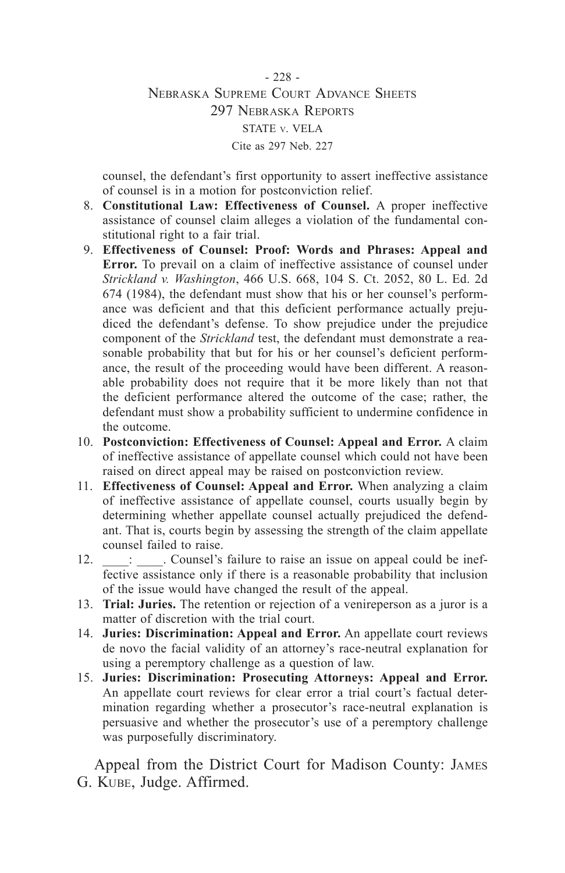- 228 - Nebraska Supreme Court Advance Sheets 297 Nebraska Reports STATE v. VELA Cite as 297 Neb. 227

counsel, the defendant's first opportunity to assert ineffective assistance of counsel is in a motion for postconviction relief.

- 8. **Constitutional Law: Effectiveness of Counsel.** A proper ineffective assistance of counsel claim alleges a violation of the fundamental constitutional right to a fair trial.
- 9. **Effectiveness of Counsel: Proof: Words and Phrases: Appeal and Error.** To prevail on a claim of ineffective assistance of counsel under *Strickland v. Washington*, 466 U.S. 668, 104 S. Ct. 2052, 80 L. Ed. 2d 674 (1984), the defendant must show that his or her counsel's performance was deficient and that this deficient performance actually prejudiced the defendant's defense. To show prejudice under the prejudice component of the *Strickland* test, the defendant must demonstrate a reasonable probability that but for his or her counsel's deficient performance, the result of the proceeding would have been different. A reasonable probability does not require that it be more likely than not that the deficient performance altered the outcome of the case; rather, the defendant must show a probability sufficient to undermine confidence in the outcome.
- 10. **Postconviction: Effectiveness of Counsel: Appeal and Error.** A claim of ineffective assistance of appellate counsel which could not have been raised on direct appeal may be raised on postconviction review.
- 11. **Effectiveness of Counsel: Appeal and Error.** When analyzing a claim of ineffective assistance of appellate counsel, courts usually begin by determining whether appellate counsel actually prejudiced the defendant. That is, courts begin by assessing the strength of the claim appellate counsel failed to raise.
- 12. **Example 12.** Counsel's failure to raise an issue on appeal could be ineffective assistance only if there is a reasonable probability that inclusion of the issue would have changed the result of the appeal.
- 13. **Trial: Juries.** The retention or rejection of a venireperson as a juror is a matter of discretion with the trial court.
- 14. **Juries: Discrimination: Appeal and Error.** An appellate court reviews de novo the facial validity of an attorney's race-neutral explanation for using a peremptory challenge as a question of law.
- 15. **Juries: Discrimination: Prosecuting Attorneys: Appeal and Error.**  An appellate court reviews for clear error a trial court's factual determination regarding whether a prosecutor's race-neutral explanation is persuasive and whether the prosecutor's use of a peremptory challenge was purposefully discriminatory.

Appeal from the District Court for Madison County: James G. Kube, Judge. Affirmed.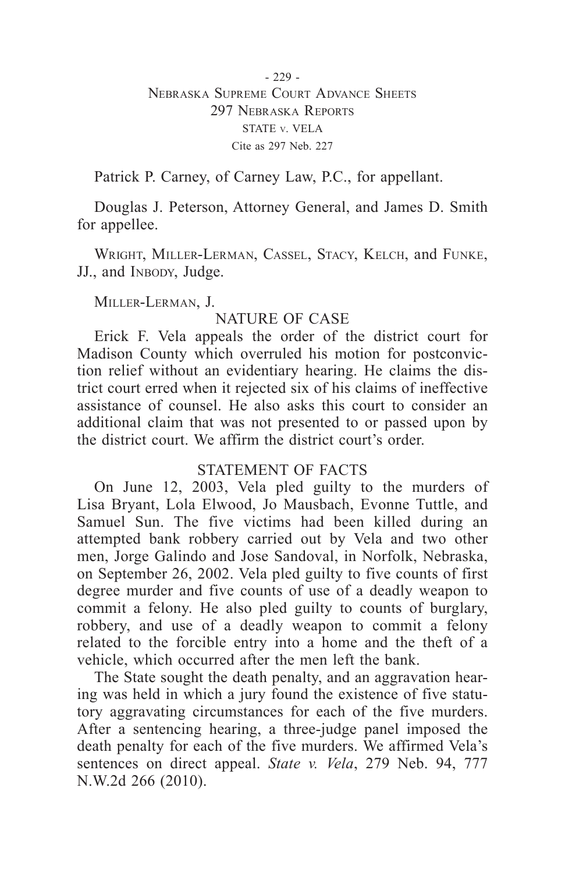Patrick P. Carney, of Carney Law, P.C., for appellant.

Douglas J. Peterson, Attorney General, and James D. Smith for appellee.

Wright, Miller-Lerman, Cassel, Stacy, Kelch, and Funke, JJ., and INBODY, Judge.

Miller-Lerman, J.

# NATURE OF CASE

Erick F. Vela appeals the order of the district court for Madison County which overruled his motion for postconviction relief without an evidentiary hearing. He claims the district court erred when it rejected six of his claims of ineffective assistance of counsel. He also asks this court to consider an additional claim that was not presented to or passed upon by the district court. We affirm the district court's order.

# STATEMENT OF FACTS

On June 12, 2003, Vela pled guilty to the murders of Lisa Bryant, Lola Elwood, Jo Mausbach, Evonne Tuttle, and Samuel Sun. The five victims had been killed during an attempted bank robbery carried out by Vela and two other men, Jorge Galindo and Jose Sandoval, in Norfolk, Nebraska, on September 26, 2002. Vela pled guilty to five counts of first degree murder and five counts of use of a deadly weapon to commit a felony. He also pled guilty to counts of burglary, robbery, and use of a deadly weapon to commit a felony related to the forcible entry into a home and the theft of a vehicle, which occurred after the men left the bank.

The State sought the death penalty, and an aggravation hearing was held in which a jury found the existence of five statutory aggravating circumstances for each of the five murders. After a sentencing hearing, a three-judge panel imposed the death penalty for each of the five murders. We affirmed Vela's sentences on direct appeal. *State v. Vela*, 279 Neb. 94, 777 N.W.2d 266 (2010).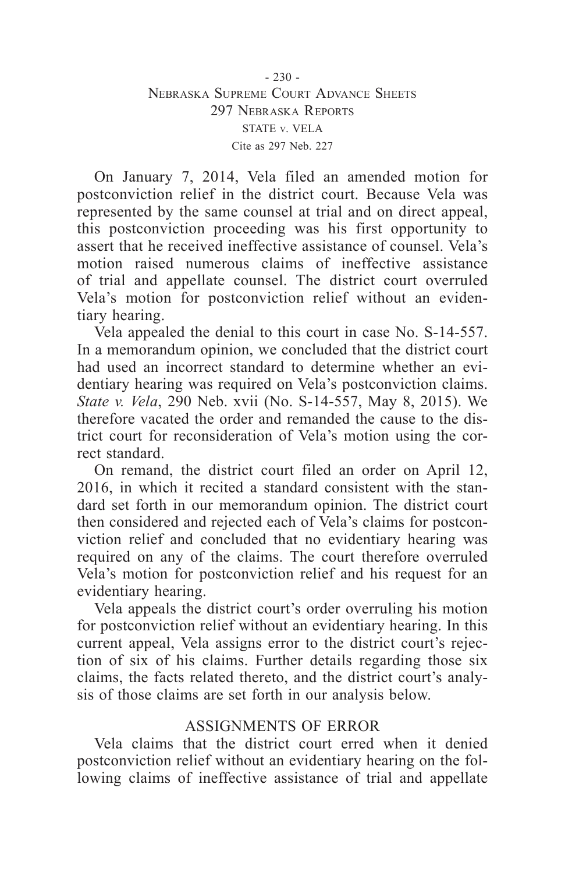On January 7, 2014, Vela filed an amended motion for postconviction relief in the district court. Because Vela was represented by the same counsel at trial and on direct appeal, this postconviction proceeding was his first opportunity to assert that he received ineffective assistance of counsel. Vela's motion raised numerous claims of ineffective assistance of trial and appellate counsel. The district court overruled Vela's motion for postconviction relief without an evidentiary hearing.

Vela appealed the denial to this court in case No. S-14-557. In a memorandum opinion, we concluded that the district court had used an incorrect standard to determine whether an evidentiary hearing was required on Vela's postconviction claims. *State v. Vela*, 290 Neb. xvii (No. S-14-557, May 8, 2015). We therefore vacated the order and remanded the cause to the district court for reconsideration of Vela's motion using the correct standard.

On remand, the district court filed an order on April 12, 2016, in which it recited a standard consistent with the standard set forth in our memorandum opinion. The district court then considered and rejected each of Vela's claims for postconviction relief and concluded that no evidentiary hearing was required on any of the claims. The court therefore overruled Vela's motion for postconviction relief and his request for an evidentiary hearing.

Vela appeals the district court's order overruling his motion for postconviction relief without an evidentiary hearing. In this current appeal, Vela assigns error to the district court's rejection of six of his claims. Further details regarding those six claims, the facts related thereto, and the district court's analysis of those claims are set forth in our analysis below.

# ASSIGNMENTS OF ERROR

Vela claims that the district court erred when it denied postconviction relief without an evidentiary hearing on the following claims of ineffective assistance of trial and appellate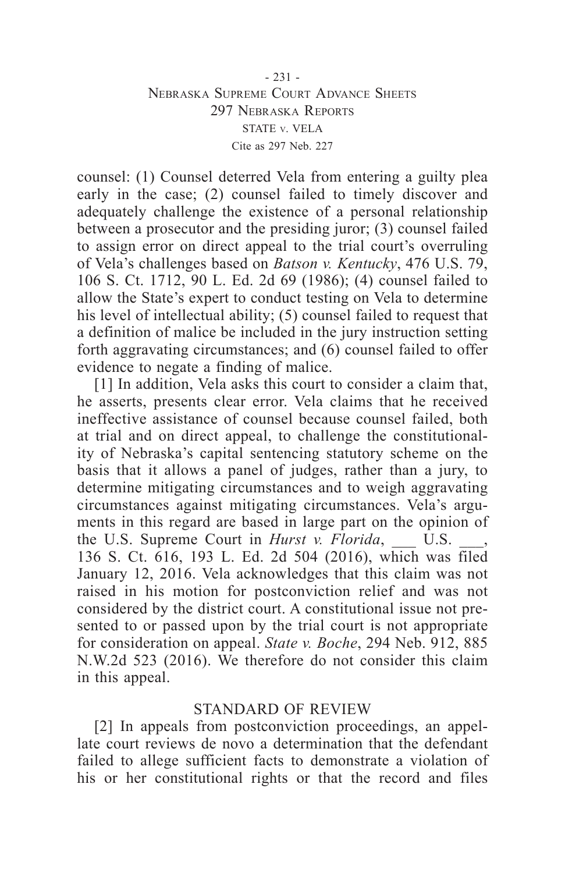#### - 231 - Nebraska Supreme Court Advance Sheets 297 Nebraska Reports STATE v. VELA Cite as 297 Neb. 227

counsel: (1) Counsel deterred Vela from entering a guilty plea early in the case; (2) counsel failed to timely discover and adequately challenge the existence of a personal relationship between a prosecutor and the presiding juror; (3) counsel failed to assign error on direct appeal to the trial court's overruling of Vela's challenges based on *Batson v. Kentucky*, 476 U.S. 79, 106 S. Ct. 1712, 90 L. Ed. 2d 69 (1986); (4) counsel failed to allow the State's expert to conduct testing on Vela to determine his level of intellectual ability; (5) counsel failed to request that a definition of malice be included in the jury instruction setting forth aggravating circumstances; and (6) counsel failed to offer evidence to negate a finding of malice.

[1] In addition, Vela asks this court to consider a claim that, he asserts, presents clear error. Vela claims that he received ineffective assistance of counsel because counsel failed, both at trial and on direct appeal, to challenge the constitutionality of Nebraska's capital sentencing statutory scheme on the basis that it allows a panel of judges, rather than a jury, to determine mitigating circumstances and to weigh aggravating circumstances against mitigating circumstances. Vela's arguments in this regard are based in large part on the opinion of the U.S. Supreme Court in *Hurst v. Florida*, U.S. 136 S. Ct. 616, 193 L. Ed. 2d 504 (2016), which was filed January 12, 2016. Vela acknowledges that this claim was not raised in his motion for postconviction relief and was not considered by the district court. A constitutional issue not presented to or passed upon by the trial court is not appropriate for consideration on appeal. *State v. Boche*, 294 Neb. 912, 885 N.W.2d 523 (2016). We therefore do not consider this claim in this appeal.

#### STANDARD OF REVIEW

[2] In appeals from postconviction proceedings, an appellate court reviews de novo a determination that the defendant failed to allege sufficient facts to demonstrate a violation of his or her constitutional rights or that the record and files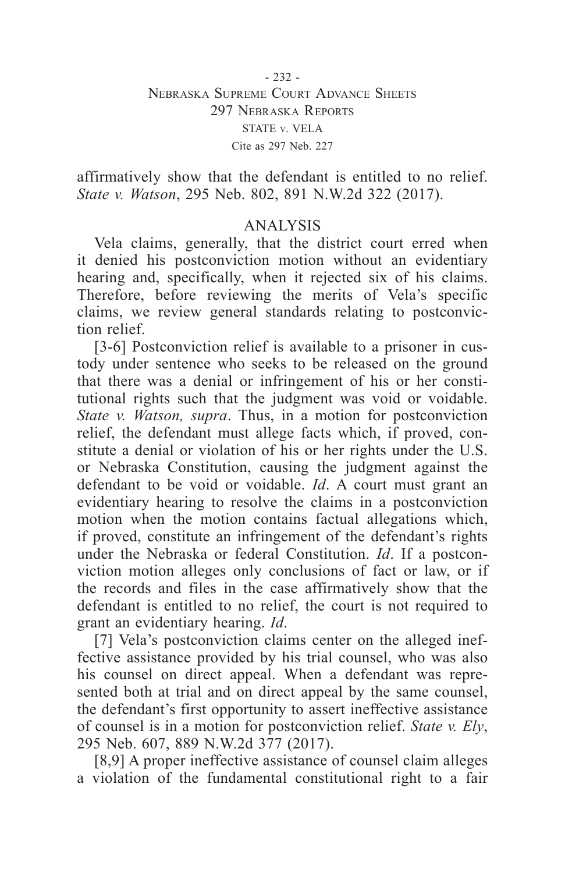affirmatively show that the defendant is entitled to no relief. *State v. Watson*, 295 Neb. 802, 891 N.W.2d 322 (2017).

# ANALYSIS

Vela claims, generally, that the district court erred when it denied his postconviction motion without an evidentiary hearing and, specifically, when it rejected six of his claims. Therefore, before reviewing the merits of Vela's specific claims, we review general standards relating to postconviction relief.

[3-6] Postconviction relief is available to a prisoner in custody under sentence who seeks to be released on the ground that there was a denial or infringement of his or her constitutional rights such that the judgment was void or voidable. *State v. Watson, supra*. Thus, in a motion for postconviction relief, the defendant must allege facts which, if proved, constitute a denial or violation of his or her rights under the U.S. or Nebraska Constitution, causing the judgment against the defendant to be void or voidable. *Id*. A court must grant an evidentiary hearing to resolve the claims in a postconviction motion when the motion contains factual allegations which, if proved, constitute an infringement of the defendant's rights under the Nebraska or federal Constitution. *Id*. If a postconviction motion alleges only conclusions of fact or law, or if the records and files in the case affirmatively show that the defendant is entitled to no relief, the court is not required to grant an evidentiary hearing. *Id*.

[7] Vela's postconviction claims center on the alleged ineffective assistance provided by his trial counsel, who was also his counsel on direct appeal. When a defendant was represented both at trial and on direct appeal by the same counsel, the defendant's first opportunity to assert ineffective assistance of counsel is in a motion for postconviction relief. *State v. Ely*, 295 Neb. 607, 889 N.W.2d 377 (2017).

[8,9] A proper ineffective assistance of counsel claim alleges a violation of the fundamental constitutional right to a fair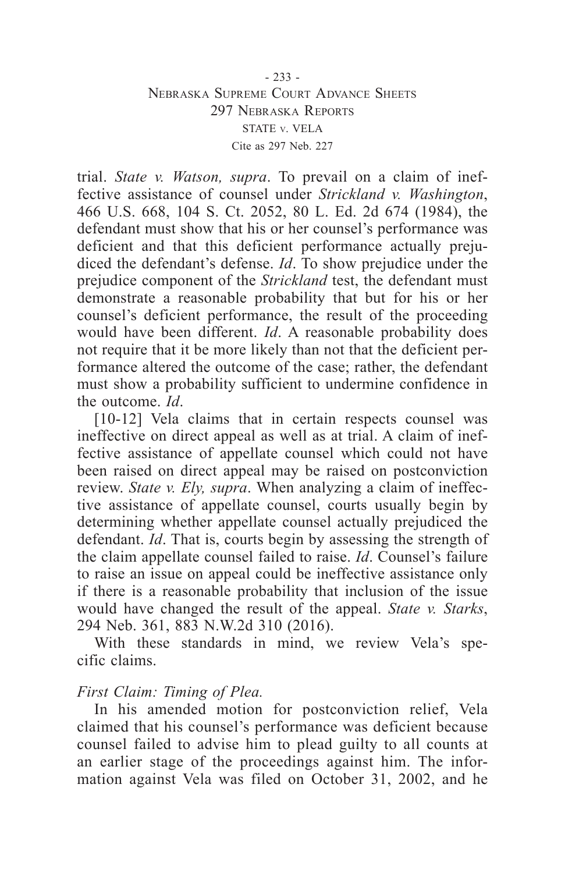#### - 233 - Nebraska Supreme Court Advance Sheets 297 Nebraska Reports STATE v. VELA Cite as 297 Neb. 227

trial. *State v. Watson, supra*. To prevail on a claim of ineffective assistance of counsel under *Strickland v. Washington*, 466 U.S. 668, 104 S. Ct. 2052, 80 L. Ed. 2d 674 (1984), the defendant must show that his or her counsel's performance was deficient and that this deficient performance actually prejudiced the defendant's defense. *Id*. To show prejudice under the prejudice component of the *Strickland* test, the defendant must demonstrate a reasonable probability that but for his or her counsel's deficient performance, the result of the proceeding would have been different. *Id*. A reasonable probability does not require that it be more likely than not that the deficient performance altered the outcome of the case; rather, the defendant must show a probability sufficient to undermine confidence in the outcome. *Id*.

[10-12] Vela claims that in certain respects counsel was ineffective on direct appeal as well as at trial. A claim of ineffective assistance of appellate counsel which could not have been raised on direct appeal may be raised on postconviction review. *State v. Ely, supra*. When analyzing a claim of ineffective assistance of appellate counsel, courts usually begin by determining whether appellate counsel actually prejudiced the defendant. *Id*. That is, courts begin by assessing the strength of the claim appellate counsel failed to raise. *Id*. Counsel's failure to raise an issue on appeal could be ineffective assistance only if there is a reasonable probability that inclusion of the issue would have changed the result of the appeal. *State v. Starks*, 294 Neb. 361, 883 N.W.2d 310 (2016).

With these standards in mind, we review Vela's specific claims.

#### *First Claim: Timing of Plea.*

In his amended motion for postconviction relief, Vela claimed that his counsel's performance was deficient because counsel failed to advise him to plead guilty to all counts at an earlier stage of the proceedings against him. The information against Vela was filed on October 31, 2002, and he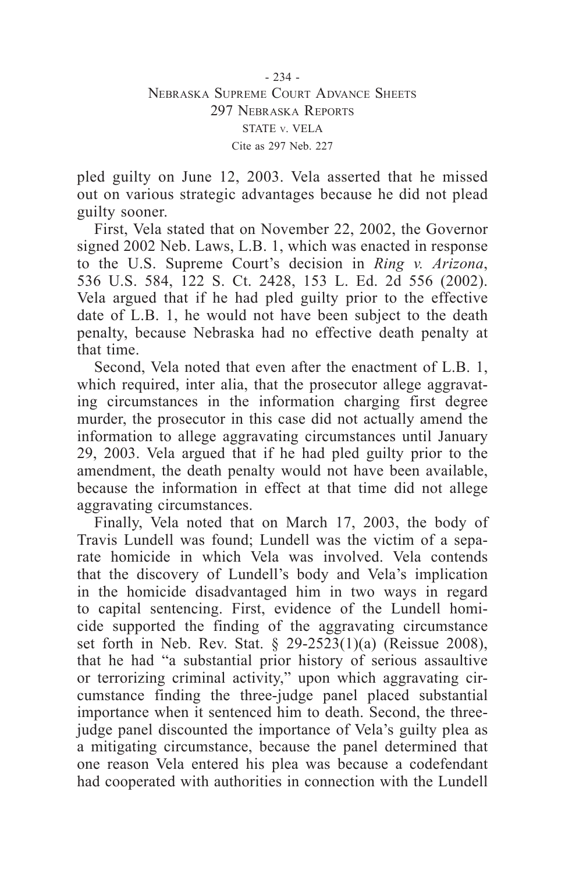pled guilty on June 12, 2003. Vela asserted that he missed out on various strategic advantages because he did not plead guilty sooner.

First, Vela stated that on November 22, 2002, the Governor signed 2002 Neb. Laws, L.B. 1, which was enacted in response to the U.S. Supreme Court's decision in *Ring v. Arizona*, 536 U.S. 584, 122 S. Ct. 2428, 153 L. Ed. 2d 556 (2002). Vela argued that if he had pled guilty prior to the effective date of L.B. 1, he would not have been subject to the death penalty, because Nebraska had no effective death penalty at that time.

Second, Vela noted that even after the enactment of L.B. 1, which required, inter alia, that the prosecutor allege aggravating circumstances in the information charging first degree murder, the prosecutor in this case did not actually amend the information to allege aggravating circumstances until January 29, 2003. Vela argued that if he had pled guilty prior to the amendment, the death penalty would not have been available, because the information in effect at that time did not allege aggravating circumstances.

Finally, Vela noted that on March 17, 2003, the body of Travis Lundell was found; Lundell was the victim of a separate homicide in which Vela was involved. Vela contends that the discovery of Lundell's body and Vela's implication in the homicide disadvantaged him in two ways in regard to capital sentencing. First, evidence of the Lundell homicide supported the finding of the aggravating circumstance set forth in Neb. Rev. Stat. § 29-2523(1)(a) (Reissue 2008), that he had "a substantial prior history of serious assaultive or terrorizing criminal activity," upon which aggravating circumstance finding the three-judge panel placed substantial importance when it sentenced him to death. Second, the threejudge panel discounted the importance of Vela's guilty plea as a mitigating circumstance, because the panel determined that one reason Vela entered his plea was because a codefendant had cooperated with authorities in connection with the Lundell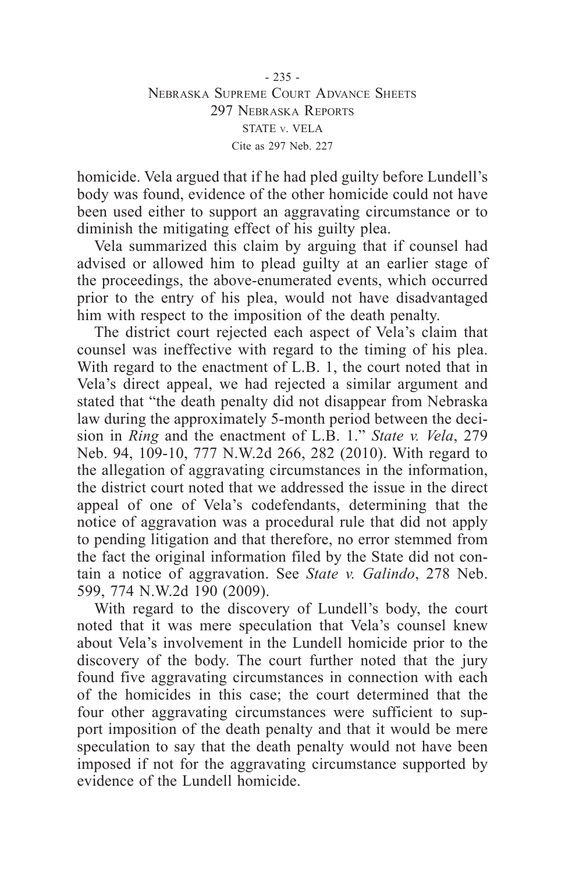- 235 - Nebraska Supreme Court Advance Sheets 297 Nebraska Reports STATE v. VELA Cite as 297 Neb. 227

homicide. Vela argued that if he had pled guilty before Lundell's body was found, evidence of the other homicide could not have been used either to support an aggravating circumstance or to diminish the mitigating effect of his guilty plea.

Vela summarized this claim by arguing that if counsel had advised or allowed him to plead guilty at an earlier stage of the proceedings, the above-enumerated events, which occurred prior to the entry of his plea, would not have disadvantaged him with respect to the imposition of the death penalty.

The district court rejected each aspect of Vela's claim that counsel was ineffective with regard to the timing of his plea. With regard to the enactment of L.B. 1, the court noted that in Vela's direct appeal, we had rejected a similar argument and stated that "the death penalty did not disappear from Nebraska law during the approximately 5-month period between the decision in *Ring* and the enactment of L.B. 1." *State v. Vela*, 279 Neb. 94, 109-10, 777 N.W.2d 266, 282 (2010). With regard to the allegation of aggravating circumstances in the information, the district court noted that we addressed the issue in the direct appeal of one of Vela's codefendants, determining that the notice of aggravation was a procedural rule that did not apply to pending litigation and that therefore, no error stemmed from the fact the original information filed by the State did not contain a notice of aggravation. See *State v. Galindo*, 278 Neb. 599, 774 N.W.2d 190 (2009).

With regard to the discovery of Lundell's body, the court noted that it was mere speculation that Vela's counsel knew about Vela's involvement in the Lundell homicide prior to the discovery of the body. The court further noted that the jury found five aggravating circumstances in connection with each of the homicides in this case; the court determined that the four other aggravating circumstances were sufficient to support imposition of the death penalty and that it would be mere speculation to say that the death penalty would not have been imposed if not for the aggravating circumstance supported by evidence of the Lundell homicide.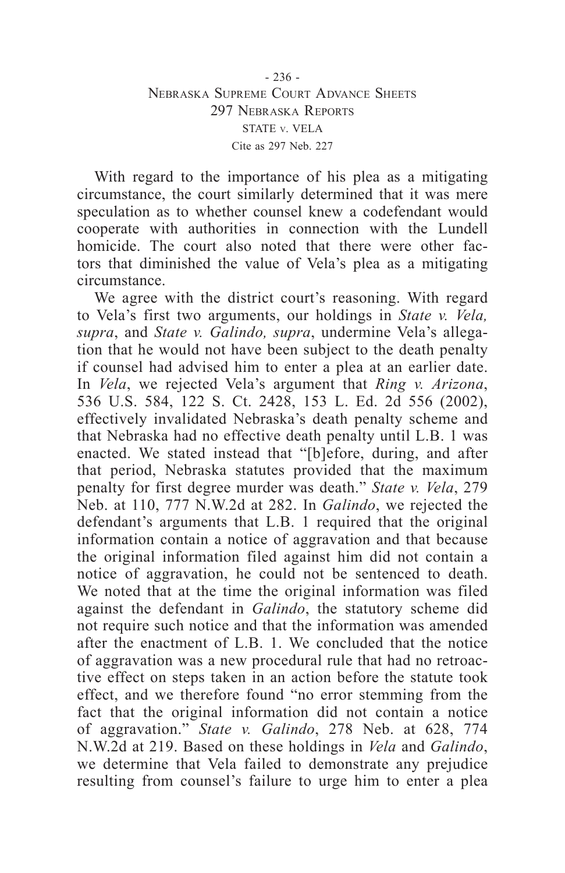With regard to the importance of his plea as a mitigating circumstance, the court similarly determined that it was mere speculation as to whether counsel knew a codefendant would cooperate with authorities in connection with the Lundell homicide. The court also noted that there were other factors that diminished the value of Vela's plea as a mitigating circumstance.

We agree with the district court's reasoning. With regard to Vela's first two arguments, our holdings in *State v. Vela, supra*, and *State v. Galindo, supra*, undermine Vela's allegation that he would not have been subject to the death penalty if counsel had advised him to enter a plea at an earlier date. In *Vela*, we rejected Vela's argument that *Ring v. Arizona*, 536 U.S. 584, 122 S. Ct. 2428, 153 L. Ed. 2d 556 (2002), effectively invalidated Nebraska's death penalty scheme and that Nebraska had no effective death penalty until L.B. 1 was enacted. We stated instead that "[b]efore, during, and after that period, Nebraska statutes provided that the maximum penalty for first degree murder was death." *State v. Vela*, 279 Neb. at 110, 777 N.W.2d at 282. In *Galindo*, we rejected the defendant's arguments that L.B. 1 required that the original information contain a notice of aggravation and that because the original information filed against him did not contain a notice of aggravation, he could not be sentenced to death. We noted that at the time the original information was filed against the defendant in *Galindo*, the statutory scheme did not require such notice and that the information was amended after the enactment of L.B. 1. We concluded that the notice of aggravation was a new procedural rule that had no retroactive effect on steps taken in an action before the statute took effect, and we therefore found "no error stemming from the fact that the original information did not contain a notice of aggravation." *State v. Galindo*, 278 Neb. at 628, 774 N.W.2d at 219. Based on these holdings in *Vela* and *Galindo*, we determine that Vela failed to demonstrate any prejudice resulting from counsel's failure to urge him to enter a plea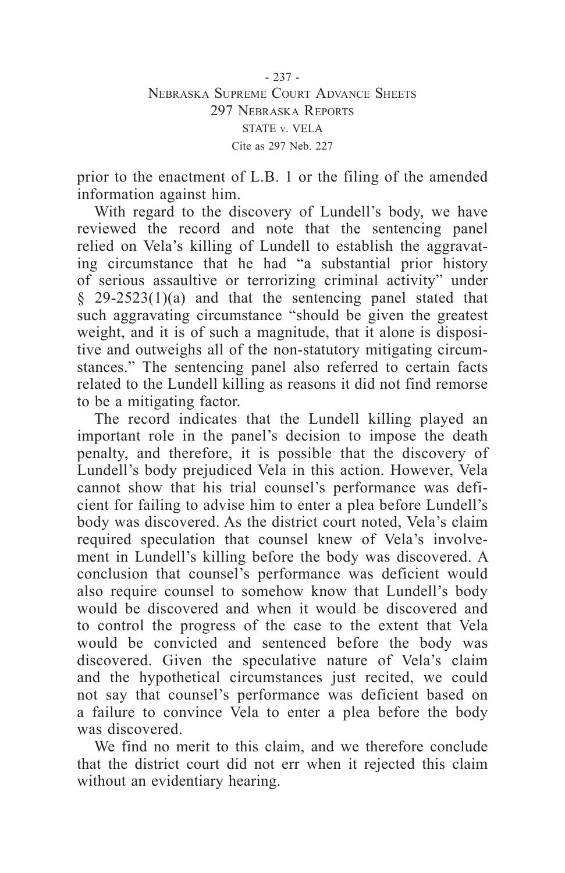- 237 - Nebraska Supreme Court Advance Sheets 297 Nebraska Reports STATE v. VELA Cite as 297 Neb. 227

prior to the enactment of L.B. 1 or the filing of the amended information against him.

With regard to the discovery of Lundell's body, we have reviewed the record and note that the sentencing panel relied on Vela's killing of Lundell to establish the aggravating circumstance that he had "a substantial prior history of serious assaultive or terrorizing criminal activity" under § 29-2523(1)(a) and that the sentencing panel stated that such aggravating circumstance "should be given the greatest weight, and it is of such a magnitude, that it alone is dispositive and outweighs all of the non-statutory mitigating circumstances." The sentencing panel also referred to certain facts related to the Lundell killing as reasons it did not find remorse to be a mitigating factor.

The record indicates that the Lundell killing played an important role in the panel's decision to impose the death penalty, and therefore, it is possible that the discovery of Lundell's body prejudiced Vela in this action. However, Vela cannot show that his trial counsel's performance was deficient for failing to advise him to enter a plea before Lundell's body was discovered. As the district court noted, Vela's claim required speculation that counsel knew of Vela's involvement in Lundell's killing before the body was discovered. A conclusion that counsel's performance was deficient would also require counsel to somehow know that Lundell's body would be discovered and when it would be discovered and to control the progress of the case to the extent that Vela would be convicted and sentenced before the body was discovered. Given the speculative nature of Vela's claim and the hypothetical circumstances just recited, we could not say that counsel's performance was deficient based on a failure to convince Vela to enter a plea before the body was discovered.

We find no merit to this claim, and we therefore conclude that the district court did not err when it rejected this claim without an evidentiary hearing.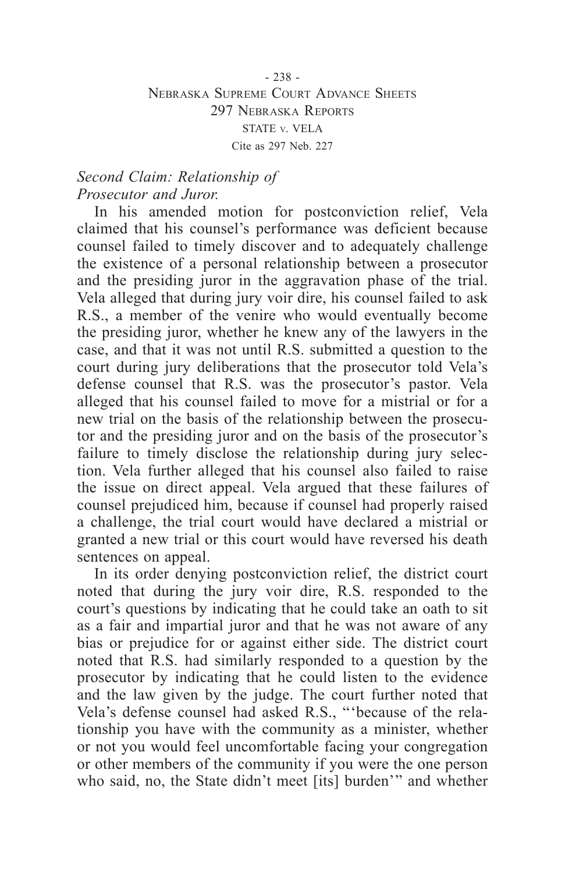- 238 - Nebraska Supreme Court Advance Sheets 297 Nebraska Reports STATE v. VELA Cite as 297 Neb. 227

# *Second Claim: Relationship of Prosecutor and Juror.*

In his amended motion for postconviction relief, Vela claimed that his counsel's performance was deficient because counsel failed to timely discover and to adequately challenge the existence of a personal relationship between a prosecutor and the presiding juror in the aggravation phase of the trial. Vela alleged that during jury voir dire, his counsel failed to ask R.S., a member of the venire who would eventually become the presiding juror, whether he knew any of the lawyers in the case, and that it was not until R.S. submitted a question to the court during jury deliberations that the prosecutor told Vela's defense counsel that R.S. was the prosecutor's pastor. Vela alleged that his counsel failed to move for a mistrial or for a new trial on the basis of the relationship between the prosecutor and the presiding juror and on the basis of the prosecutor's failure to timely disclose the relationship during jury selection. Vela further alleged that his counsel also failed to raise the issue on direct appeal. Vela argued that these failures of counsel prejudiced him, because if counsel had properly raised a challenge, the trial court would have declared a mistrial or granted a new trial or this court would have reversed his death sentences on appeal.

In its order denying postconviction relief, the district court noted that during the jury voir dire, R.S. responded to the court's questions by indicating that he could take an oath to sit as a fair and impartial juror and that he was not aware of any bias or prejudice for or against either side. The district court noted that R.S. had similarly responded to a question by the prosecutor by indicating that he could listen to the evidence and the law given by the judge. The court further noted that Vela's defense counsel had asked R.S., "'because of the relationship you have with the community as a minister, whether or not you would feel uncomfortable facing your congregation or other members of the community if you were the one person who said, no, the State didn't meet [its] burden'" and whether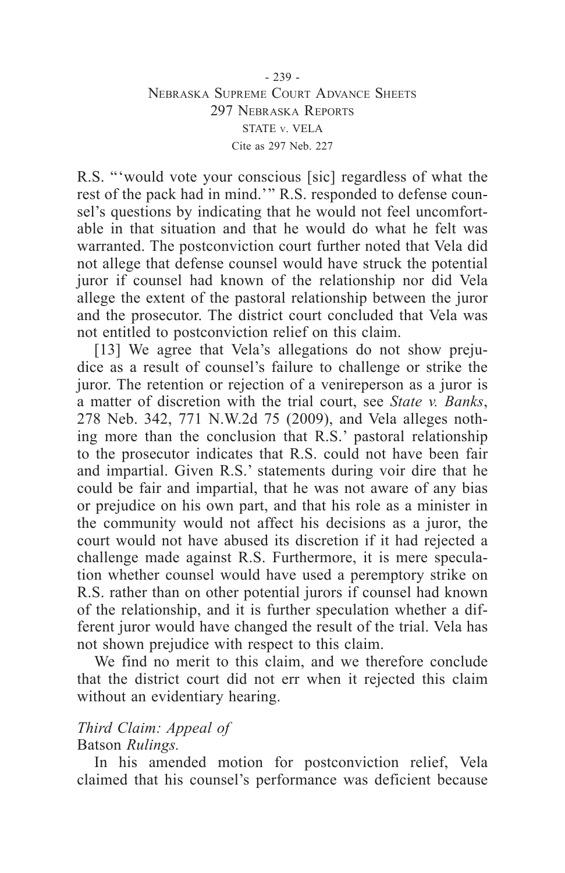R.S. "'would vote your conscious [sic] regardless of what the rest of the pack had in mind.'" R.S. responded to defense counsel's questions by indicating that he would not feel uncomfortable in that situation and that he would do what he felt was warranted. The postconviction court further noted that Vela did not allege that defense counsel would have struck the potential juror if counsel had known of the relationship nor did Vela allege the extent of the pastoral relationship between the juror and the prosecutor. The district court concluded that Vela was not entitled to postconviction relief on this claim.

[13] We agree that Vela's allegations do not show prejudice as a result of counsel's failure to challenge or strike the juror. The retention or rejection of a venireperson as a juror is a matter of discretion with the trial court, see *State v. Banks*, 278 Neb. 342, 771 N.W.2d 75 (2009), and Vela alleges nothing more than the conclusion that R.S.' pastoral relationship to the prosecutor indicates that R.S. could not have been fair and impartial. Given R.S.' statements during voir dire that he could be fair and impartial, that he was not aware of any bias or prejudice on his own part, and that his role as a minister in the community would not affect his decisions as a juror, the court would not have abused its discretion if it had rejected a challenge made against R.S. Furthermore, it is mere speculation whether counsel would have used a peremptory strike on R.S. rather than on other potential jurors if counsel had known of the relationship, and it is further speculation whether a different juror would have changed the result of the trial. Vela has not shown prejudice with respect to this claim.

We find no merit to this claim, and we therefore conclude that the district court did not err when it rejected this claim without an evidentiary hearing.

# *Third Claim: Appeal of*

# Batson *Rulings.*

In his amended motion for postconviction relief, Vela claimed that his counsel's performance was deficient because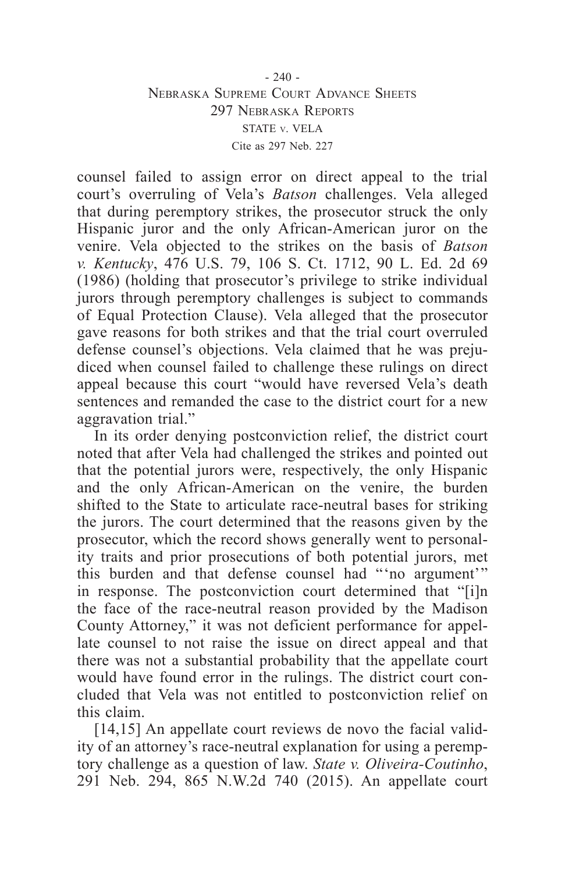counsel failed to assign error on direct appeal to the trial court's overruling of Vela's *Batson* challenges. Vela alleged that during peremptory strikes, the prosecutor struck the only Hispanic juror and the only African-American juror on the venire. Vela objected to the strikes on the basis of *Batson v. Kentucky*, 476 U.S. 79, 106 S. Ct. 1712, 90 L. Ed. 2d 69 (1986) (holding that prosecutor's privilege to strike individual jurors through peremptory challenges is subject to commands of Equal Protection Clause). Vela alleged that the prosecutor gave reasons for both strikes and that the trial court overruled defense counsel's objections. Vela claimed that he was prejudiced when counsel failed to challenge these rulings on direct appeal because this court "would have reversed Vela's death sentences and remanded the case to the district court for a new aggravation trial."

In its order denying postconviction relief, the district court noted that after Vela had challenged the strikes and pointed out that the potential jurors were, respectively, the only Hispanic and the only African-American on the venire, the burden shifted to the State to articulate race-neutral bases for striking the jurors. The court determined that the reasons given by the prosecutor, which the record shows generally went to personality traits and prior prosecutions of both potential jurors, met this burden and that defense counsel had "'no argument'" in response. The postconviction court determined that "[i]n the face of the race-neutral reason provided by the Madison County Attorney," it was not deficient performance for appellate counsel to not raise the issue on direct appeal and that there was not a substantial probability that the appellate court would have found error in the rulings. The district court concluded that Vela was not entitled to postconviction relief on this claim.

[14,15] An appellate court reviews de novo the facial validity of an attorney's race-neutral explanation for using a peremptory challenge as a question of law. *State v. Oliveira-Coutinho*, 291 Neb. 294, 865 N.W.2d 740 (2015). An appellate court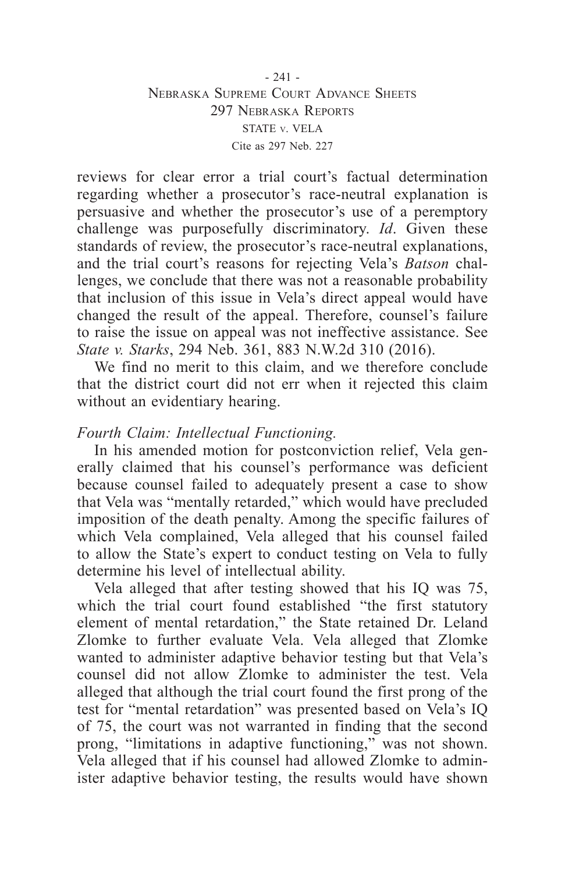- 241 - Nebraska Supreme Court Advance Sheets 297 Nebraska Reports STATE v. VELA Cite as 297 Neb. 227

reviews for clear error a trial court's factual determination regarding whether a prosecutor's race-neutral explanation is persuasive and whether the prosecutor's use of a peremptory challenge was purposefully discriminatory. *Id*. Given these standards of review, the prosecutor's race-neutral explanations, and the trial court's reasons for rejecting Vela's *Batson* challenges, we conclude that there was not a reasonable probability that inclusion of this issue in Vela's direct appeal would have changed the result of the appeal. Therefore, counsel's failure to raise the issue on appeal was not ineffective assistance. See *State v. Starks*, 294 Neb. 361, 883 N.W.2d 310 (2016).

We find no merit to this claim, and we therefore conclude that the district court did not err when it rejected this claim without an evidentiary hearing.

# *Fourth Claim: Intellectual Functioning.*

In his amended motion for postconviction relief, Vela generally claimed that his counsel's performance was deficient because counsel failed to adequately present a case to show that Vela was "mentally retarded," which would have precluded imposition of the death penalty. Among the specific failures of which Vela complained, Vela alleged that his counsel failed to allow the State's expert to conduct testing on Vela to fully determine his level of intellectual ability.

Vela alleged that after testing showed that his IQ was 75, which the trial court found established "the first statutory element of mental retardation," the State retained Dr. Leland Zlomke to further evaluate Vela. Vela alleged that Zlomke wanted to administer adaptive behavior testing but that Vela's counsel did not allow Zlomke to administer the test. Vela alleged that although the trial court found the first prong of the test for "mental retardation" was presented based on Vela's IQ of 75, the court was not warranted in finding that the second prong, "limitations in adaptive functioning," was not shown. Vela alleged that if his counsel had allowed Zlomke to administer adaptive behavior testing, the results would have shown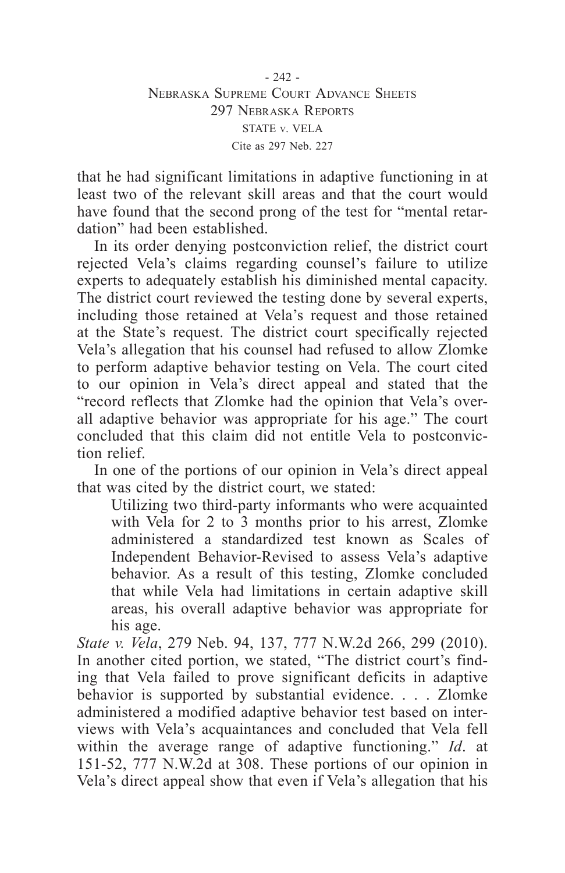that he had significant limitations in adaptive functioning in at least two of the relevant skill areas and that the court would have found that the second prong of the test for "mental retardation" had been established.

In its order denying postconviction relief, the district court rejected Vela's claims regarding counsel's failure to utilize experts to adequately establish his diminished mental capacity. The district court reviewed the testing done by several experts, including those retained at Vela's request and those retained at the State's request. The district court specifically rejected Vela's allegation that his counsel had refused to allow Zlomke to perform adaptive behavior testing on Vela. The court cited to our opinion in Vela's direct appeal and stated that the "record reflects that Zlomke had the opinion that Vela's overall adaptive behavior was appropriate for his age." The court concluded that this claim did not entitle Vela to postconviction relief.

In one of the portions of our opinion in Vela's direct appeal that was cited by the district court, we stated:

Utilizing two third-party informants who were acquainted with Vela for 2 to 3 months prior to his arrest, Zlomke administered a standardized test known as Scales of Independent Behavior-Revised to assess Vela's adaptive behavior. As a result of this testing, Zlomke concluded that while Vela had limitations in certain adaptive skill areas, his overall adaptive behavior was appropriate for his age.

*State v. Vela*, 279 Neb. 94, 137, 777 N.W.2d 266, 299 (2010). In another cited portion, we stated, "The district court's finding that Vela failed to prove significant deficits in adaptive behavior is supported by substantial evidence. . . . Zlomke administered a modified adaptive behavior test based on interviews with Vela's acquaintances and concluded that Vela fell within the average range of adaptive functioning." *Id*. at 151-52, 777 N.W.2d at 308. These portions of our opinion in Vela's direct appeal show that even if Vela's allegation that his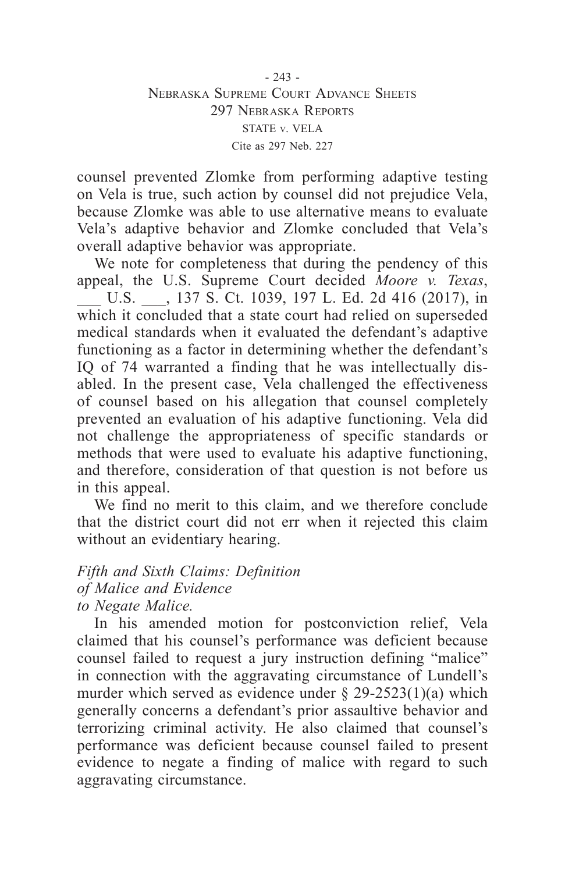- 243 - Nebraska Supreme Court Advance Sheets 297 Nebraska Reports STATE v. VELA Cite as 297 Neb. 227

counsel prevented Zlomke from performing adaptive testing on Vela is true, such action by counsel did not prejudice Vela, because Zlomke was able to use alternative means to evaluate Vela's adaptive behavior and Zlomke concluded that Vela's overall adaptive behavior was appropriate.

We note for completeness that during the pendency of this appeal, the U.S. Supreme Court decided *Moore v. Texas*, U.S.  $\qquad$ , 137 S. Ct. 1039, 197 L. Ed. 2d 416 (2017), in which it concluded that a state court had relied on superseded medical standards when it evaluated the defendant's adaptive functioning as a factor in determining whether the defendant's IQ of 74 warranted a finding that he was intellectually disabled. In the present case, Vela challenged the effectiveness of counsel based on his allegation that counsel completely prevented an evaluation of his adaptive functioning. Vela did not challenge the appropriateness of specific standards or methods that were used to evaluate his adaptive functioning, and therefore, consideration of that question is not before us in this appeal.

We find no merit to this claim, and we therefore conclude that the district court did not err when it rejected this claim without an evidentiary hearing.

#### *Fifth and Sixth Claims: Definition of Malice and Evidence to Negate Malice.*

In his amended motion for postconviction relief, Vela claimed that his counsel's performance was deficient because counsel failed to request a jury instruction defining "malice" in connection with the aggravating circumstance of Lundell's murder which served as evidence under  $\S$  29-2523(1)(a) which generally concerns a defendant's prior assaultive behavior and terrorizing criminal activity. He also claimed that counsel's performance was deficient because counsel failed to present evidence to negate a finding of malice with regard to such aggravating circumstance.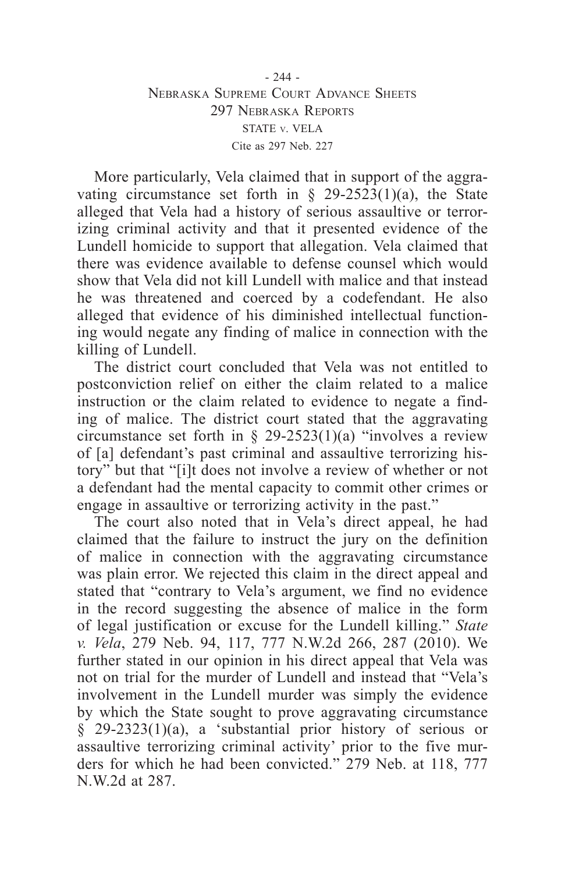More particularly, Vela claimed that in support of the aggravating circumstance set forth in  $\S$  29-2523(1)(a), the State alleged that Vela had a history of serious assaultive or terrorizing criminal activity and that it presented evidence of the Lundell homicide to support that allegation. Vela claimed that there was evidence available to defense counsel which would show that Vela did not kill Lundell with malice and that instead he was threatened and coerced by a codefendant. He also alleged that evidence of his diminished intellectual functioning would negate any finding of malice in connection with the killing of Lundell.

The district court concluded that Vela was not entitled to postconviction relief on either the claim related to a malice instruction or the claim related to evidence to negate a finding of malice. The district court stated that the aggravating circumstance set forth in  $\S$  29-2523(1)(a) "involves a review of [a] defendant's past criminal and assaultive terrorizing history" but that "[i]t does not involve a review of whether or not a defendant had the mental capacity to commit other crimes or engage in assaultive or terrorizing activity in the past."

The court also noted that in Vela's direct appeal, he had claimed that the failure to instruct the jury on the definition of malice in connection with the aggravating circumstance was plain error. We rejected this claim in the direct appeal and stated that "contrary to Vela's argument, we find no evidence in the record suggesting the absence of malice in the form of legal justification or excuse for the Lundell killing." *State v. Vela*, 279 Neb. 94, 117, 777 N.W.2d 266, 287 (2010). We further stated in our opinion in his direct appeal that Vela was not on trial for the murder of Lundell and instead that "Vela's involvement in the Lundell murder was simply the evidence by which the State sought to prove aggravating circumstance § 29-2323(1)(a), a 'substantial prior history of serious or assaultive terrorizing criminal activity' prior to the five murders for which he had been convicted." 279 Neb. at 118, 777 N.W.2d at 287.